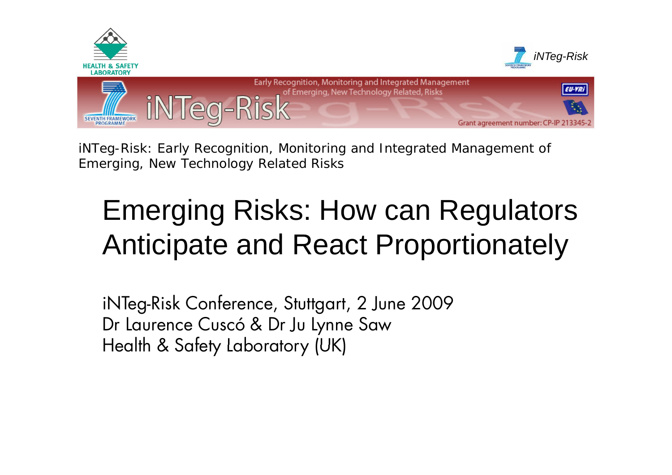

*iNTeg-Risk: Early Recognition, Monitoring and Integrated Management of Emerging, New Technology Related Risks*

# Emerging Risks: How can Regulators Anticipate and React Proportionately

iNTeg-Risk Conference, Stuttgart, 2 June 2009 Dr Laurence Cuscó & Dr Ju Lynne Saw Health & Safety Laboratory (UK)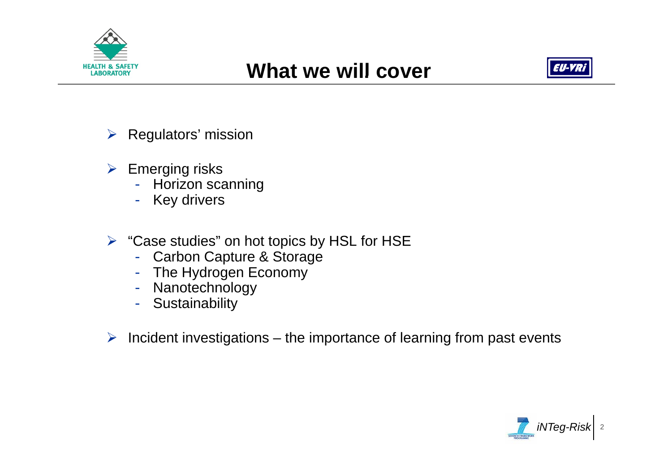



- $\triangleright$  Regulators' mission
- $\triangleright$  Emerging risks
	- Horizon scanning
	- Key drivers
- $\triangleright$  "Case studies" on hot topics by HSL for HSE
	- Carbon Capture & Storage
	- The Hydrogen Economy
	- Nanotechnology
	- Sustainability
- $\triangleright$  Incident investigations the importance of learning from past events

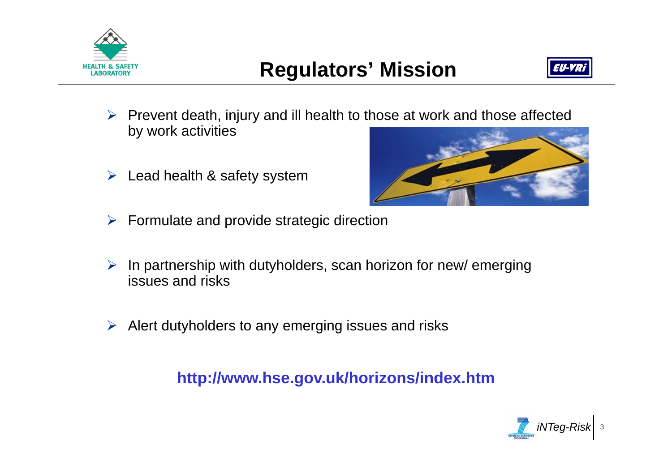



- ¾ Prevent death, injury and ill health to those at work and those affected by work activities
- ¾Lead health & safety system



- $\triangleright$  Formulate and provide strategic direction
- ¾ In partnership with dutyholders, scan horizon for new/ emerging issues and risks
- ¾Alert dutyholders to any emerging issues and risks

**http://www.hse.gov.uk/horizons/index.htm**

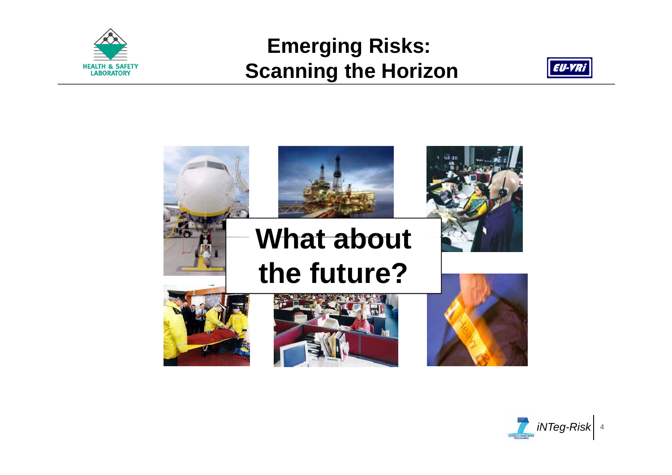

## **Emerging Risks: Scanning the Horizon**





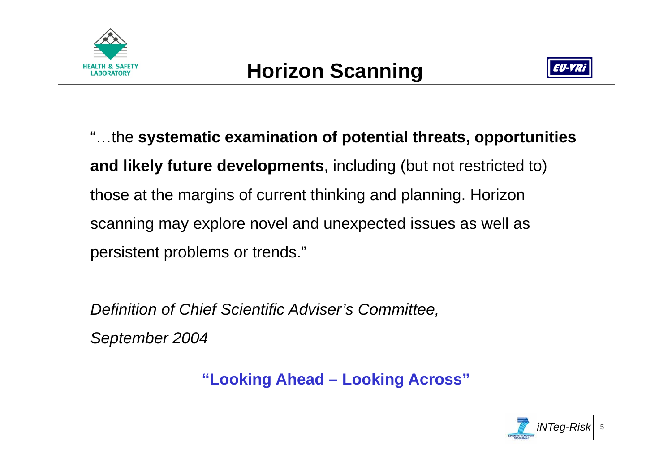



"…the **systematic examination of potential threats, opportunities and likely future developments**, including (but not restricted to) those at the margins of current thinking and planning. Horizon scanning may explore novel and unexpected issues as well as persistent problems or trends."

*Definition of Chief Scientific Adviser's Committee,* 

*September 2004*

**"Looking Ahead – Looking Across"**

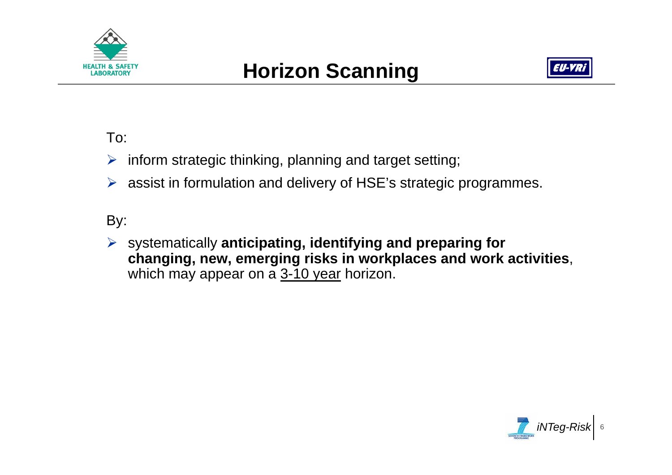



#### To:

 $\triangleright$  inform strategic thinking, planning and target setting;

 $\triangleright$  assist in formulation and delivery of HSE's strategic programmes.

#### By:

¾ systematically **anticipating, identifying and preparing for changing, new, emerging risks in workplaces and work activities**, which may appear on a 3-10 year horizon.

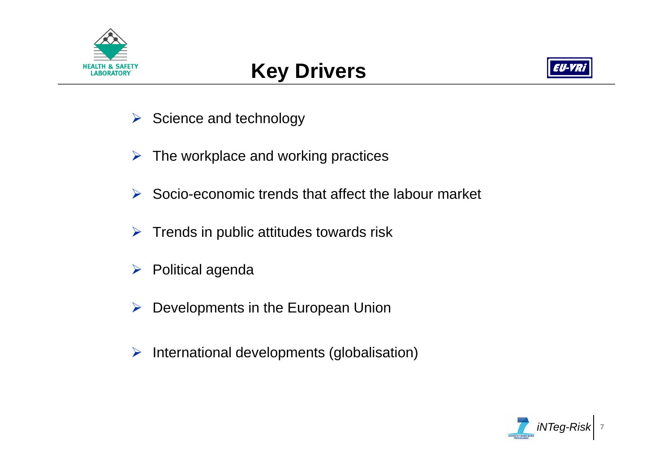



- $\triangleright$  Science and technology
- $\triangleright$  The workplace and working practices
- $\triangleright$  Socio-economic trends that affect the labour market
- $\triangleright$  Trends in public attitudes towards risk
- ¾ Political agenda
- ¾Developments in the European Union
- ¾International developments (globalisation)

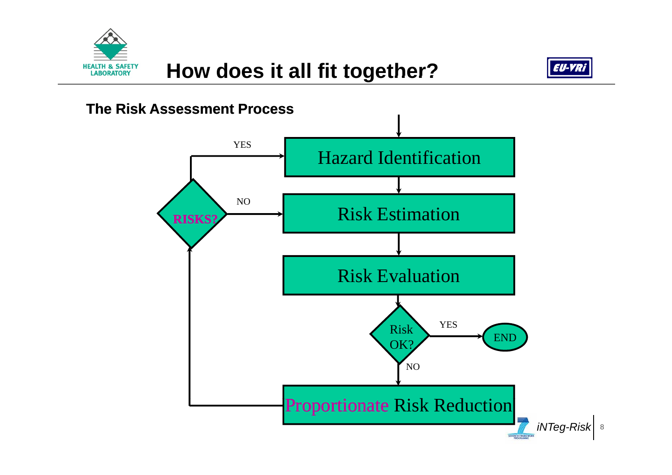



#### **The Risk Assessment Process**

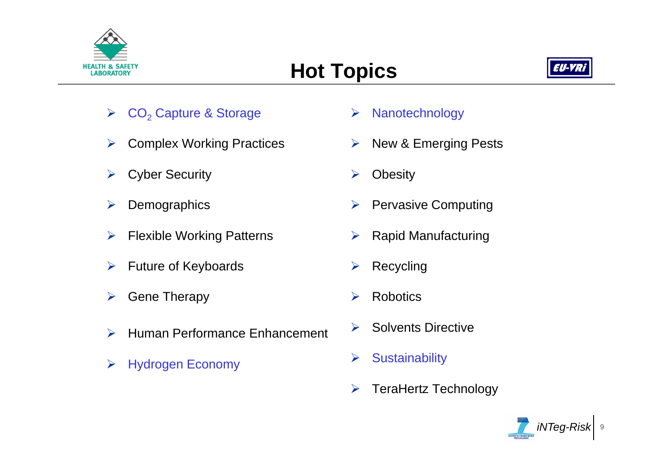

# **Hot Topics**



- ¾ $\triangleright$  CO<sub>2</sub> Capture & Storage  $\triangleright$  Nanotechnology
- ¾Complex Working Practices
- ¾Cyber Security
- ¾**Demographics**
- $\blacktriangleright$  $\triangleright$  Flexible Working Patterns  $\triangleright$
- ¾Future of Keyboards
- ¾Gene Therapy
- $\blacktriangleright$ Human Performance Enhancement
- ¾Hydrogen Economy **Acknowledge Sustainability**
- 
- ¾ New & Emerging Pests
- ¾**Obesity**
- ¾Pervasive Computing
- $\triangleright$  Rapid Manufacturing
- ¾Recycling
- ¾Robotics
- ¾Solvents Directive
- 
- ¾TeraHertz Technology

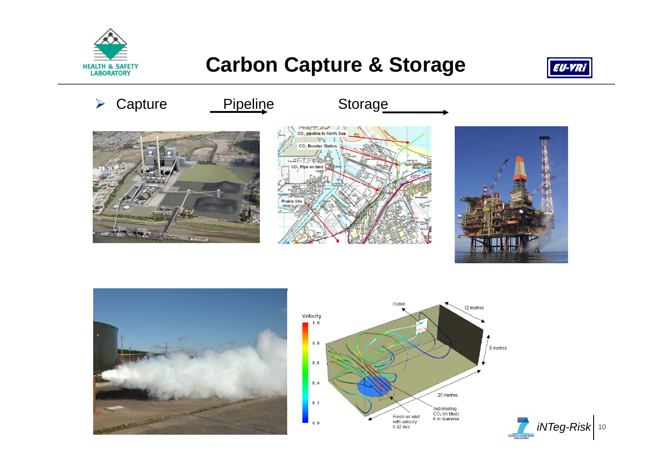

## **Carbon Capture & Storage**







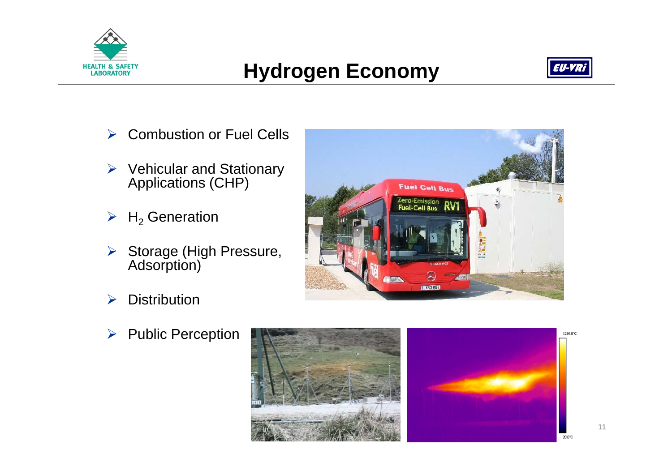

# **Hydrogen Economy**



- **Combustion or Fuel Cells**  $\blacktriangleright$
- > Vehicular and Stationary<br>Applications (CHP)
- $\triangleright$  H<sub>2</sub> Generation
- > Storage (High Pressure,<br>Adsorption)
- **Distribution**  $\blacktriangleright$
- **Public Perception**  $\blacktriangleright$



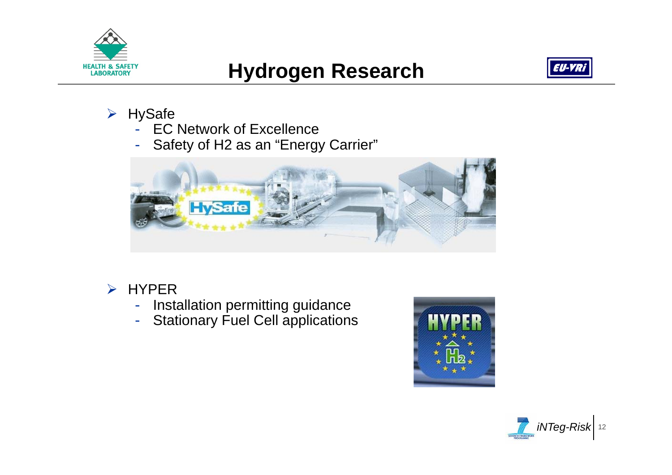

# **Hydrogen Research**



- ¾ HySafe
	- EC Network of Excellence
	- -Safety of H2 as an "Energy Carrier"



- $\triangleright$  HYPER
	- -Installation permitting guidance
	- -Stationary Fuel Cell applications



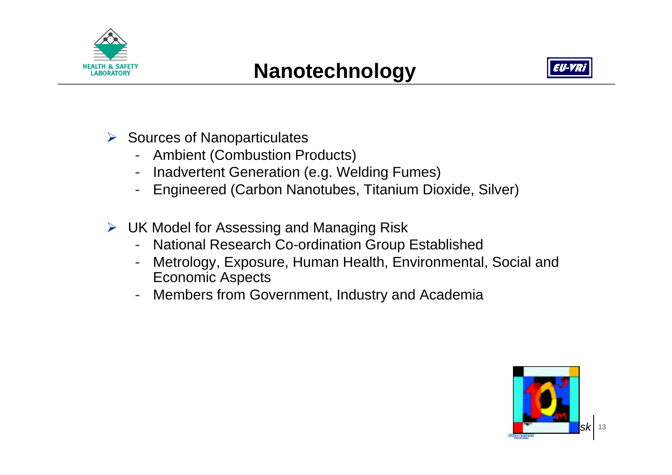



- $\triangleright$  Sources of Nanoparticulates
	- Ambient (Combustion Products)
	- Inadvertent Generation (e.g. Welding Fumes)
	- Engineered (Carbon Nanotubes, Titanium Dioxide, Silver)
- ¾ UK Model for Assessing and Managing Risk
	- National Research Co-ordination Group Established
	- Metrology, Exposure, Human Health, Environmental, Social and Economic Aspects
	- Members from Government, Industry and Academia

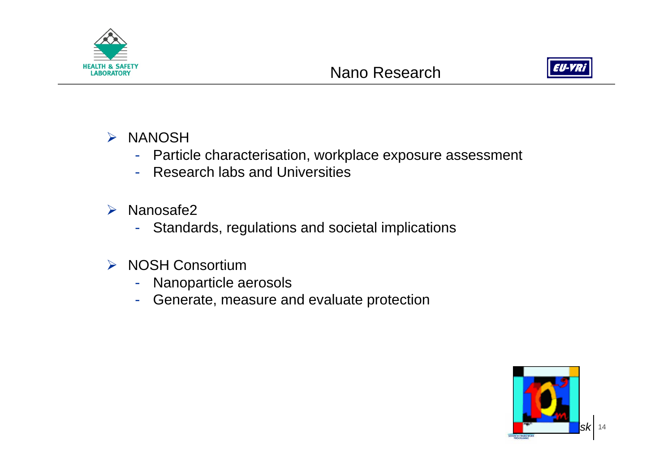



- ¾ NANOSH
	- Particle characterisation, workplace exposure assessment
	- Research labs and Universities
- $\blacktriangleright$  Nanosafe2
	- Standards, regulations and societal implications
- ¾ NOSH Consortium
	- Nanoparticle aerosols
	- Generate, measure and evaluate protection

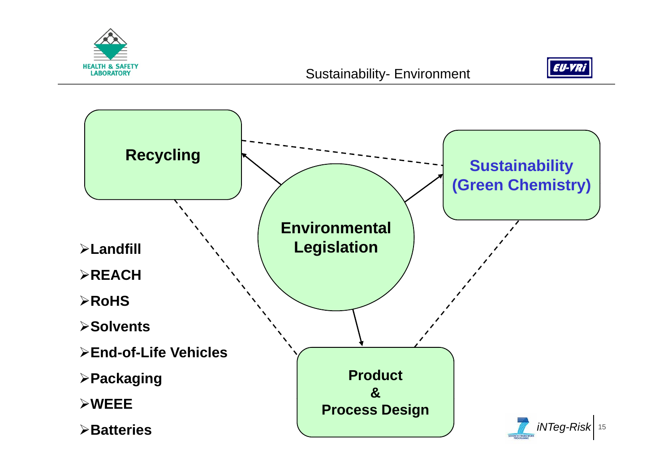



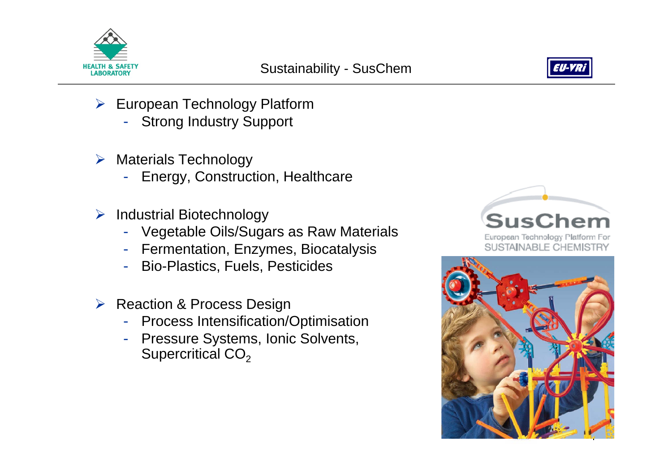



- ¾ European Technology Platform
	- -Strong Industry Support
- $\triangleright$  Materials Technology
	- Energy, Construction, Healthcare
- ¾ Industrial Biotechnology
	- Vegetable Oils/Sugars as Raw Materials
	- Fermentation, Enzymes, Biocatalysis
	- Bio-Plastics, Fuels, Pesticides
- **▶ Reaction & Process Design** 
	- Process Intensification/Optimisation
	- Pressure Systems, Ionic Solvents, Supercritical CO<sub>2</sub>



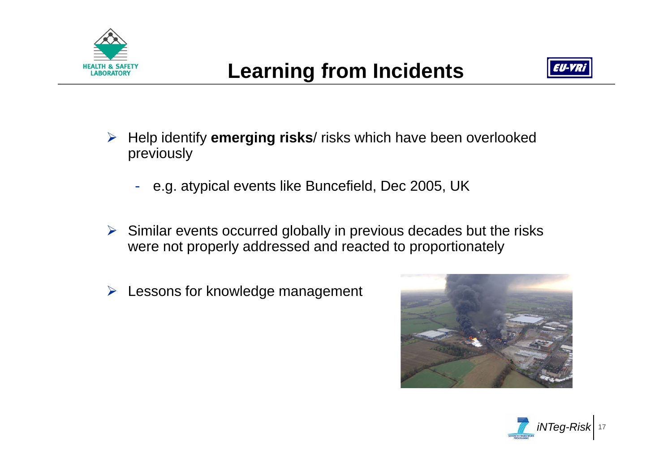



- ¾ Help identify **emerging risks**/ risks which have been overlooked previously
	- e.g. atypical events like Buncefield, Dec 2005, UK
- $\triangleright$  Similar events occurred globally in previous decades but the risks were not properly addressed and reacted to proportionately
- ¾Lessons for knowledge management